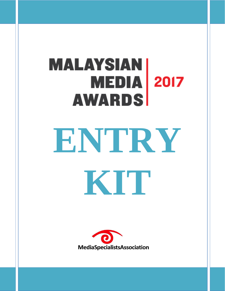# **MALAYSIAN**<br>MEDIA 2017 **AWARDS ENTRY KIT**

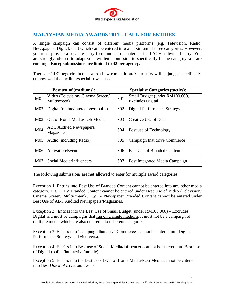

# **MALAYSIAN MEDIA AWARDS 2017 – CALL FOR ENTRIES**

A single campaign can consist of different media platforms (e.g. Television, Radio, Newspapers, Digital, etc.) which can be entered into a maximum of three categories. However, you must provide a separate entry form and set of materials for EACH individual entry. You are strongly advised to adapt your written submission to specifically fit the category you are entering. **Entry submissions are limited to 42 per agency.** 

There are **14 Categories** in the award show competition. Your entry will be judged specifically on how well the medium/specialist was used.

| <b>Best use of (mediums):</b> |                                                  |                  | <b>Specialist Categories (tactics):</b>                     |  |
|-------------------------------|--------------------------------------------------|------------------|-------------------------------------------------------------|--|
| M <sub>01</sub>               | Video (Television/Cinema Screen/<br>Multiscreen) | <b>S01</b>       | Small Budget (under RM100,000) -<br><b>Excludes Digital</b> |  |
| M <sub>02</sub>               | Digital (online/interactive/mobile)              | S <sub>0</sub> 2 | <b>Digital Performance Strategy</b>                         |  |
| M <sub>03</sub>               | Out of Home Media/POS Media                      | S <sub>03</sub>  | Creative Use of Data                                        |  |
| M <sub>04</sub>               | <b>ABC</b> Audited Newspapers/<br>Magazines      | S <sub>04</sub>  | Best use of Technology                                      |  |
| M <sub>05</sub>               | Audio (including Radio)                          | S <sub>05</sub>  | Campaign that drive Commerce                                |  |
| M06                           | <b>Activation/Events</b>                         | S <sub>06</sub>  | <b>Best Use of Branded Content</b>                          |  |
| M <sub>07</sub>               | Social Media/Influencers                         | <b>S07</b>       | Best Integrated Media Campaign                              |  |

The following submissions are **not allowed** to enter for multiple award categories:

Exception 1: Entries into Best Use of Branded Content cannot be entered into any other media category. E.g. A TV Branded Content cannot be entered under Best Use of Video (Television/ Cinema Screen/ Multiscreen) / E.g. A Newspaper Branded Content cannot be entered under Best Use of ABC Audited Newspapers/Magazines.

Exception 2: Entries into the Best Use of Small Budget (under RM100,000) – Excludes Digital and must be campaigns that ran on a single medium. It must not be a campaign of multiple media which are also entered into different categories.

Exception 3: Entries into 'Campaign that drive Commerce' cannot be entered into Digital Performance Strategy and vice-versa.

Exception 4: Entries into Best use of Social Media/Influencers cannot be entered into Best Use of Digital (online/interactive/mobile)

Exception 5: Entries into the Best use of Out of Home Media/POS Media cannot be entered into Best Use of Activation/Events.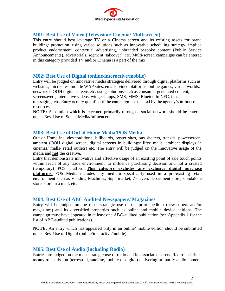

## **M01: Best Use of Video (Television/ Cinema/ Multiscreen)**

This entry should best leverage TV or a Cinema screen and its existing assets for brand building/ promotion, using varied solutions such as innovative scheduling strategy, implied product endorsement, contextual advertising, unbranded bespoke content (Public Service Announcements), advertorials, segment 'takeover', etc. Multi-screen campaigns can be entered in this category provided TV and/or Cinema is a part of the mix.

## **M02: Best Use of Digital (online/interactive/mobile)**

Entry will be judged on innovative media strategies delivered through digital platforms such as websites, microsites, mobile WAP sites, emails, video platforms, online games, virtual worlds, networked OOH digital screens etc. using solutions such as consumer generated content, screensavers, interactive videos, widgets, apps, SMS, MMS, Bluetooth/ NFC, instant messaging, etc. Entry is only qualified if the campaign is executed by the agency's in-house resources.

**NOTE:** A solution which is executed primarily through a social network should be entered under Best Use of Social Media/Influencers.

#### **M03: Best Use of Out of Home Media/POS Media**

Out of Home includes traditional billboards, poster sites, bus shelters, transits, powerscreen, ambient (OOH digital screen, digital screens in buildings/ lifts/ malls, ambient displays in cinemas/ malls/ retail outlets) etc. The entry will be judged on the innovative usage of the media and **not** the creative.

Entry that demonstrate innovative and effective usage of an existing point of sale touch points within reach of any trade environment, to influence purchasing decision and not a created (temporary) POS platform. **This category excludes any exclusive digital purchase platforms.** POS Media includes any medium specifically used in a pre-existing retail environment such as Vending Machines, Supermarket, 7-eleven, department store, standalone store, store in a mall, etc.

#### **M04: Best Use of ABC Audited Newspapers/ Magazines**

Entry will be judged on the most strategic use of the print medium (newspapers and/or magazines) and its diversified properties such as online and mobile device editions. The campaign must have appeared in at least one ABC-audited publication (see Appendix 1 for the list of ABC-audited publications).

**NOTE:** An entry which has appeared only in an online/ mobile edition should be submitted under Best Use of Digital (online/interactive/mobile).

## **M05: Best Use of Audio (including Radio)**

Entries are judged on the most strategic use of radio and its associated assets. Radio is defined as any transmission (terrestrial, satellite, mobile or digital) delivering primarily audio content.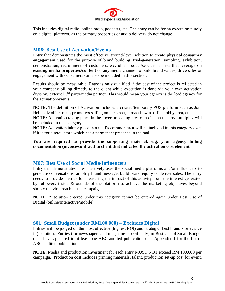

This includes digital radio, online radio, podcasts, etc. The entry can be for an execution purely on a digital platform, as the primary properties of audio delivery do not change

## **M06: Best Use of Activation/Events**

Entry that demonstrates the most effective ground-level solution to create **physical consumer engagement** used for the purpose of brand building, trial-generation, sampling, exhibition, demonstration, recruitment of customers, etc. of a product/service. Entries that leverage on **existing media properties/content** on any media channel to build brand values, drive sales or engagement with consumers can also be included in this section.

Results should be measurable. Entry is only qualified if the cost of the project is reflected in your company billing directly to the client while execution is done via your own activation division/ external 3<sup>rd</sup> party/media partner. This would mean your agency is the lead agency for the activation/events.

**NOTE:** The definition of Activation includes a created/temporary POS platform such as Jom Heboh, Mobile truck, promoters selling on the street, a roadshow at office lobby area, etc.

**NOTE:** Activation taking place in the foyer or seating area of a cinema theatre/ multiplex will be included in this category.

**NOTE:** Activation taking place in a mall's common area will be included in this category even if it is for a retail store which has a permanent presence in the mall.

**You are required to provide the supporting material, e.g. your agency billing documentation (invoice/contract) to client that indicated the activation cost element.**

#### **M07: Best Use of Social Media/Influencers**

Entry that demonstrates how it actively uses the social media platforms and/or influencers to generate conversations, amplify brand message, build brand equity or deliver sales. The entry needs to provide metrics for measuring the impact of this activity from the interest generated by followers inside & outside of the platform to achieve the marketing objectives beyond simply the viral reach of the campaign.

**NOTE**: A solution entered under this category cannot be entered again under Best Use of Digital (online/interactive/mobile).

#### **S01: Small Budget (under RM100,000) – Excludes Digital**

Entries will be judged on the most effective (highest ROI) and strategic (best brand's relevance fit) solution. Entries (for newspapers and magazines specifically) in Best Use of Small Budget must have appeared in at least one ABC-audited publication (see Appendix 1 for the list of ABC-audited publications).

**NOTE**: Media and production investment for each entry MUST NOT exceed RM 100,000 per campaign. Production cost includes printing materials, talent, production set-up cost for event,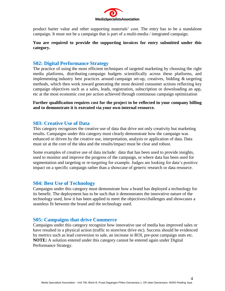

product barter value and other supporting materials' cost. The entry has to be a standalone campaign. It must not be a campaign that is part of a multi-media / integrated campaign.

#### **You are required to provide the supporting invoices for entry submitted under this category.**

## **S02: Digital Performance Strategy**

The practice of using the most efficient techniques of targeted marketing by choosing the right media platforms, distributing campaign budgets scientifically across these platforms, and implementing industry best practices around campaign set-up, creatives, bidding & targeting methods, which then work toward generating the most desired consumer actions reflecting key campaign objectives such as a sales, leads, registration, subscription or downloading an app, etc at the most economic cost per action achieved through continuous campaign optimization

**Further qualification requires cost for the project to be reflected in your company billing and to demonstrate it is executed via your own internal resource.**

## **S03: Creative Use of Data**

This category recognizes the creative use of data that drive not only creativity but marketing results. Campaigns under this category must clearly demonstrate how the campaign was enhanced or driven by the creative use, interpretation, analysis or application of data. Data must sit at the core of the idea and the results/impact must be clear and robust.

Some examples of creative use of data include: data that has been used to provide insights, used to monitor and improve the progress of the campaign, or where data has been used for segmentation and targeting or re-targeting for example. Judges are looking for data's positive impact on a specific campaign rather than a showcase of generic research or data resource.

#### **S04: Best Use of Technology**

Campaigns under this category must demonstrate how a brand has deployed a technology for its benefit. The deployment has to be such that it demonstrates the innovative nature of the technology used, how it has been applied to meet the objectives/challenges and showcases a seamless fit between the brand and the technology used.

#### **S05: Campaigns that drive Commerce**

Campaigns under this category recognize how innovative use of media has improved sales or have resulted in a physical action (traffic to store/test drive etc). Success should be evidenced by metrics such as lead conversion to sale, an increase in ROI, pre-post campaign stats etc. **NOTE:** A solution entered under this category cannot be entered again under Digital Performance Strategy.

4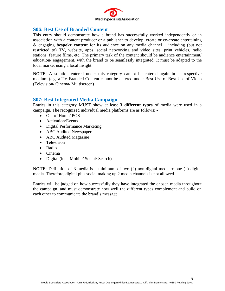

## **S06: Best Use of Branded Content**

This entry should demonstrate how a brand has successfully worked independently or in association with a content producer or a publisher to develop, create or co-create entertaining & engaging **bespoke content** for its audience on any media channel – including (but not restricted to) TV, website, apps, social networking and video sites, print vehicles, radio stations, feature films, etc. The primary task of the content should be audience entertainment/ education/ engagement, with the brand to be seamlessly integrated. It must be adapted to the local market using a local insight.

**NOTE**: A solution entered under this category cannot be entered again in its respective medium (e.g. a TV Branded Content cannot be entered under Best Use of Best Use of Video (Television/ Cinema/ Multiscreen)

## **S07: Best Integrated Media Campaign**

Entries in this category MUST show at least **3 different types** of media were used in a campaign. The recognized individual media platforms are as follows: -

- Out of Home/ POS
- Activation/Events
- Digital Performance Marketing
- ABC Audited Newspaper
- ABC Audited Magazine
- **•** Television
- Radio
- Cinema
- Digital (incl. Mobile/ Social/ Search)

**NOTE**: Definition of 3 media is a minimum of two (2) non-digital media + one (1) digital media. Therefore, digital plus social making up 2 media channels is not allowed.

Entries will be judged on how successfully they have integrated the chosen media throughout the campaign, and must demonstrate how well the different types complement and build on each other to communicate the brand's message.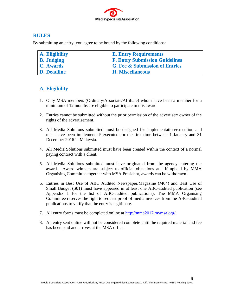

## **RULES**

By submitting an entry, you agree to be bound by the following conditions:

| A. Eligibility     | <b>E. Entry Requirements</b>              |
|--------------------|-------------------------------------------|
| <b>B.</b> Judging  | <b>F. Entry Submission Guidelines</b>     |
| C. Awards          | <b>G. Fee &amp; Submission of Entries</b> |
| <b>D.</b> Deadline | <b>H. Miscellaneous</b>                   |

# **A. Eligibility**

- 1. Only MSA members (Ordinary/Associate/Affiliate) whom have been a member for a minimum of 12 months are eligible to participate in this award.
- 2. Entries cannot be submitted without the prior permission of the advertiser/ owner of the rights of the advertisement.
- 3. All Media Solutions submitted must be designed for implementation/execution and must have been implemented/ executed for the first time between 1 January and 31 December 2016 in Malaysia.
- 4. All Media Solutions submitted must have been created within the context of a normal paying contract with a client.
- 5. All Media Solutions submitted must have originated from the agency entering the award. Award winners are subject to official objections and if upheld by MMA Organising Committee together with MSA President, awards can be withdrawn.
- 6. Entries in Best Use of ABC Audited Newspaper/Magazine (M04) and Best Use of Small Budget (S01) must have appeared in at least one ABC-audited publication (see Appendix 1 for the list of ABC-audited publications). The MMA Organising Committee reserves the right to request proof of media invoices from the ABC-audited publications to verify that the entry is legitimate.
- 7. All entry forms must be completed online at  $\frac{http://mma2017.mymsa.org/}{http://mma2017.mymsa.org/}$
- 8. An entry sent online will not be considered complete until the required material and fee has been paid and arrives at the MSA office.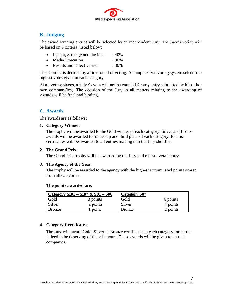

# **B. Judging**

The award winning entries will be selected by an independent Jury. The Jury's voting will be based on 3 criteria, listed below:

- Insight, Strategy and the idea  $: 40\%$
- Media Execution : 30%
- Results and Effectiveness : 30%

The shortlist is decided by a first round of voting. A computerized voting system selects the highest votes given in each category.

At all voting stages, a judge's vote will not be counted for any entry submitted by his or her own company(ies). The decision of the Jury in all matters relating to the awarding of Awards will be final and binding.

## **C. Awards**

The awards are as follows:

**1. Category Winner:**

The trophy will be awarded to the Gold winner of each category. Silver and Bronze awards will be awarded to runner-up and third place of each category. Finalist certificates will be awarded to all entries making into the Jury shortlist.

#### **2. The Grand Prix:**

The Grand Prix trophy will be awarded by the Jury to the best overall entry.

#### **3. The Agency of the Year**

The trophy will be awarded to the agency with the highest accumulated points scored from all categories.

|               | Category M01 – M07 & S01 – S06 | <b>Category S07</b> |          |
|---------------|--------------------------------|---------------------|----------|
| Gold          | 3 points                       | Gold                | 6 points |
| Silver        | 2 points                       | Silver              | 4 points |
| <b>Bronze</b> | point                          | <b>Bronze</b>       | 2 points |

#### **The points awarded are:**

#### **4. Category Certificates:**

The Jury will award Gold, Silver or Bronze certificates in each category for entries judged to be deserving of these honours. These awards will be given to entrant companies.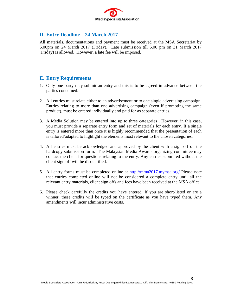

## **D. Entry Deadline – 24 March 2017**

All materials, documentations and payment must be received at the MSA Secretariat by 5.00pm on 24 March 2017 (Friday). Late submission till 5.00 pm on 31 March 2017 (Friday) is allowed. However, a late fee will be imposed.

## **E. Entry Requirements**

- 1. Only one party may submit an entry and this is to be agreed in advance between the parties concerned.
- 2. All entries must relate either to an advertisement or to one single advertising campaign. Entries relating to more than one advertising campaign (even if promoting the same product), must be entered individually and paid for as separate entries.
- 3. A Media Solution may be entered into up to three categories . However, in this case, you must provide a separate entry form and set of materials for each entry. If a single entry is entered more than once it is highly recommended that the presentation of each is tailored/adapted to highlight the elements most relevant to the chosen categories.
- 4. All entries must be acknowledged and approved by the client with a sign off on the hardcopy submission form. The Malaysian Media Awards organizing committee may contact the client for questions relating to the entry. Any entries submitted without the client sign off will be disqualified.
- 5. All entry forms must be completed online at <http://mma2017.mymsa.org/> Please note that entries completed online will not be considered a complete entry until all the relevant entry materials, client sign offs and fees have been received at the MSA office.
- 6. Please check carefully the credits you have entered. If you are short-listed or are a winner, these credits will be typed on the certificate as you have typed them. Any amendments will incur administrative costs.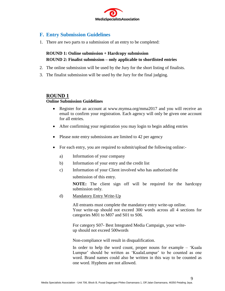

## **F. Entry Submission Guidelines**

1. There are two parts to a submission of an entry to be completed:

## **ROUND 1: Online submission + Hardcopy submission ROUND 2: Finalist submission – only applicable to shortlisted entries**

- 2. The online submission will be used by the Jury for the short listing of finalists.
- 3. The finalist submission will be used by the Jury for the final judging.

#### **ROUND 1**

#### **Online Submission Guidelines**

- Register for an account at www.mymsa.org/mma2017 and you will receive an email to confirm your registration. Each agency will only be given one account for all entries.
- After confirming your registration you may login to begin adding entries
- Please note entry submissions are limited to 42 per agency
- For each entry, you are required to submit/upload the following online:
	- a) Information of your company
	- b) Information of your entry and the credit list
	- c) Information of your Client involved who has authorized the submission of this entry.

**NOTE:** The client sign off will be required for the hardcopy submission only.

d) Mandatory Entry Write-Up

All entrants must complete the mandatory entry write-up online. Your write-up should not exceed 300 words across all 4 sections for categories M01 to M07 and S01 to S06.

For category S07- Best Integrated Media Campaign, your writeup should not exceed 500words

Non-compliance will result in disqualification.

In order to help the word count, proper nouns for example – 'Kuala Lumpur' should be written as 'KualaLumpur' to be counted as one word. Brand names could also be written in this way to be counted as one word. Hyphens are not allowed.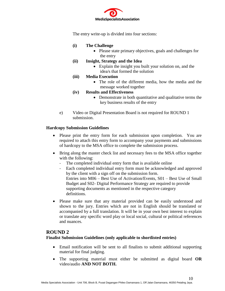

The entry write-up is divided into four sections:

- **(i) The Challenge** 
	- Please state primary objectives, goals and challenges for the entry

#### **(ii) Insight, Strategy and the Idea**

- Explain the insight you built your solution on, and the idea/s that formed the solution
- **(iii) Media Execution** 
	- The role of the different media, how the media and the message worked together

#### **(iv) Results and Effectiveness**

- Demonstrate in both quantitative and qualitative terms the key business results of the entry
- e) Video or Digital Presentation Board is not required for ROUND 1 submission.

#### **Hardcopy Submission Guidelines**

- Please print the entry form for each submission upon completion. You are required to attach this entry form to accompany your payments and submissions of hardcopy to the MSA office to complete the submission process.
- Bring along the master check list and necessary fees to the MSA office together with the following:
	- The completed individual entry form that is available online
	- Each completed individual entry form must be acknowledged and approved by the client with a sign off on the submission form. Entries into M06 – Best Use of Activation/Events, S01 – Best Use of Small Budget and S02- Digital Performance Strategy are required to provide supporting documents as mentioned in the respective category definitions.
- Please make sure that any material provided can be easily understood and shown to the jury. Entries which are not in English should be translated or accompanied by a full translation. It will be in your own best interest to explain or translate any specific word play or local social, cultural or political references and nuances.

#### **ROUND 2**

**Finalist Submission Guidelines (only applicable to shortlisted entries)**

- Email notification will be sent to all finalists to submit additional supporting material for final judging.
- The supporting material must either be submitted as digital board **OR** video/audio **AND NOT BOTH.**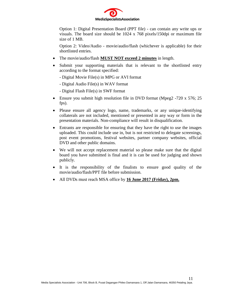

Option 1: Digital Presentation Board (PPT file) - can contain any write ups or visuals. The board size should be 1024 x 768 pixels/150dpi or maximum file size of 1 MB.

Option 2: Video/Audio - movie/audio/flash (whichever is applicable) for their shortlisted entries.

- The movie/audio/flash **MUST NOT exceed 2 minutes** in length.
- Submit your supporting materials that is relevant to the shortlisted entry according to the format specified:
	- Digital Movie File(s) in MPG or AVI format
	- Digital Audio File(s) in WAV format
	- Digital Flash File(s) in SWF format
- Ensure you submit high resolution file in DVD format (Mpeg2 -720 x 576; 25) fps).
- Please ensure all agency logo, name, trademarks, or any unique-identifying collaterals are not included, mentioned or presented in any way or form in the presentation materials. Non-compliance will result in disqualification.
- Entrants are responsible for ensuring that they have the right to use the images uploaded. This could include use in, but is not restricted to delegate screenings, post event promotions, festival websites, partner company websites, official DVD and other public domains.
- We will not accept replacement material so please make sure that the digital board you have submitted is final and it is can be used for judging and shown publicly.
- It is the responsibility of the finalists to ensure good quality of the movie/audio/flash/PPT file before submission.
- All DVDs must reach MSA office by **16 June 2017 (Friday), 2pm.**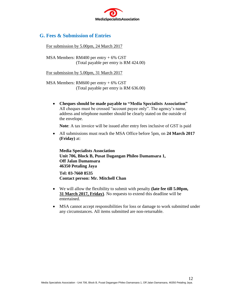

## **G. Fees & Submission of Entries**

For submission by 5.00pm, 24 March 2017

MSA Members: RM400 per entry + 6% GST (Total payable per entry is RM 424.00)

For submission by 5.00pm, 31 March 2017

MSA Members: RM600 per entry + 6% GST (Total payable per entry is RM 636.00)

 **Cheques should be made payable to "Media Specialists Association"** All cheques must be crossed "account payee only". The agency's name, address and telephone number should be clearly stated on the outside of the envelope.

**Note**: A tax invoice will be issued after entry fees inclusive of GST is paid

 All submissions must reach the MSA Office before 5pm, on **24 March 2017 (Friday)** at:

**Media Specialists Association Unit 706, Block B, Pusat Dagangan Phileo Damansara 1, Off Jalan Damansara 46350 Petaling Jaya**

**Tel: 03-7660 8535 Contact person: Mr. Mitchell Chan** 

- We will allow the flexibility to submit with penalty **(late fee till 5.00pm, 31 March 2017, Friday)**. No requests to extend this deadline will be entertained.
- MSA cannot accept responsibilities for loss or damage to work submitted under any circumstances. All items submitted are non-returnable.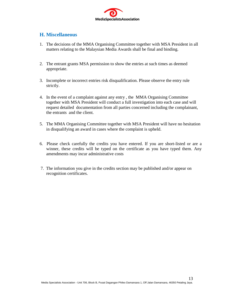

## **H. Miscellaneous**

- 1. The decisions of the MMA Organising Committee together with MSA President in all matters relating to the Malaysian Media Awards shall be final and binding.
- 2. The entrant grants MSA permission to show the entries at such times as deemed appropriate.
- 3. Incomplete or incorrect entries risk disqualification. Please observe the entry rule strictly.
- 4. In the event of a complaint against any entry , the MMA Organising Committee together with MSA President will conduct a full investigation into each case and will request detailed documentation from all parties concerned including the complainant, the entrants and the client.
- 5. The MMA Organising Committee together with MSA President will have no hesitation in disqualifying an award in cases where the complaint is upheld.
- 6. Please check carefully the credits you have entered. If you are short-listed or are a winner, these credits will be typed on the certificate as you have typed them. Any amendments may incur administrative costs
- 7. The information you give in the credits section may be published and/or appear on recognition certificates.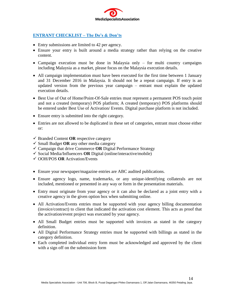

## **ENTRANT CHECKLIST – The Do's & Don'ts**

- Entry submissions are limited to 42 per agency.
- Ensure your entry is built around a media strategy rather than relying on the creative content.
- Campaign execution must be done in Malaysia only for multi country campaigns including Malaysia as a market, please focus on the Malaysia execution details.
- All campaign implementation must have been executed for the first time between 1 January and 31 December 2016 in Malaysia. It should not be a repeat campaign. If entry is an updated version from the previous year campaign – entrant must explain the updated execution details.
- Best Use of Out of Home/Point-Of-Sale entries must represent a permanent POS touch point and not a created (temporary) POS platform; A created (temporary) POS platforms should be entered under Best Use of Activation/ Events. Digital purchase platform is not included.
- Ensure entry is submitted into the right category.
- Entries are not allowed to be duplicated in these set of categories, entrant must choose either or:
- $\checkmark$  Branded Content **OR** respective category
- $\checkmark$  Small Budget **OR** any other media category
- $\checkmark$  Campaign that drive Commerce **OR** Digital Performance Strategy
- $\checkmark$  Social Media/Influencers **OR** Digital (online/interactive/mobile)
- OOH/POS **OR** Activation/Events
- Ensure your newspaper/magazine entries are ABC audited publications.
- Ensure agency logo, name, trademarks, or any unique-identifying collaterals are not included, mentioned or presented in any way or form in the presentation materials.
- Entry must originate from your agency or it can also be declared as a joint entry with a creative agency in the given option box when submitting online.
- All Activation/Events entries must be supported with your agency billing documentation (invoice/contract) to client that indicated the activation cost element. This acts as proof that the activation/event project was executed by your agency.
- All Small Budget entries must be supported with invoices as stated in the category definition.
- All Digital Performance Strategy entries must be supported with billings as stated in the category definition.
- Each completed individual entry form must be acknowledged and approved by the client with a sign off on the submission form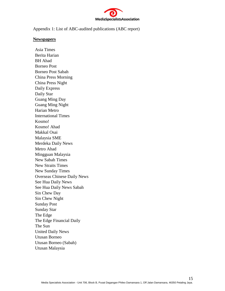

Appendix 1: List of ABC-audited publications (ABC report)

#### **Newspapers**

Asia Times Berita Harian BH Ahad Borneo Post Borneo Post Sabah China Press Morning China Press Night Daily Express Daily Star Guang Ming Day Guang Ming Night Harian Metro International Times Kosmo! Kosmo! Ahad Makkal Osai Malaysia SME Merdeka Daily News Metro Ahad Mingguan Malaysia New Sabah Times New Straits Times New Sunday Times Overseas Chinese Daily News See Hua Daily News See Hua Daily News Sabah Sin Chew Day Sin Chew Night Sunday Post Sunday Star The Edge The Edge Financial Daily The Sun United Daily News Utusan Borneo Utusan Borneo (Sabah) Utusan Malaysia